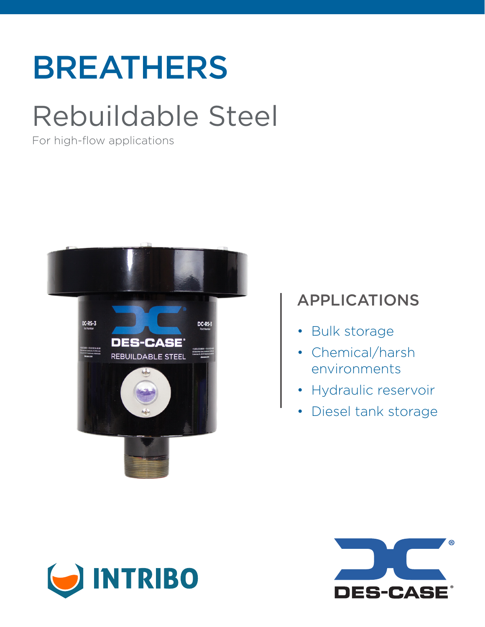# BREATHERS

## Rebuildable Steel

For high-flow applications



## APPLICATIONS

- Bulk storage
- Chemical/harsh environments
- Hydraulic reservoir
- Diesel tank storage



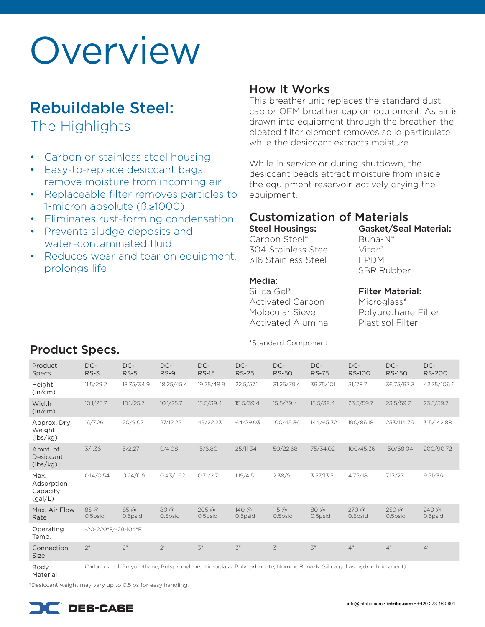# Overview

## Rebuildable Steel:

The Highlights

- Carbon or stainless steel housing
- Easy-to-replace desiccant bags remove moisture from incoming air
- Replaceable filter removes particles to 1-micron absolute (ß<sub>1</sub>≥1000)
- Eliminates rust-forming condensation
- Prevents sludge deposits and water-contaminated fluid
- Reduces wear and tear on equipment, prolongs life

### How It Works

This breather unit replaces the standard dust cap or OEM breather cap on equipment. As air is drawn into equipment through the breather, the pleated filter element removes solid particulate while the desiccant extracts moisture.

While in service or during shutdown, the desiccant beads attract moisture from inside the equipment reservoir, actively drying the equipment.

### Customization of Materials

Steel Housings: Carbon Steel\* 304 Stainless Steel

316 Stainless Steel

#### Media:

Silica Gel\* Activated Carbon Molecular Sieve Activated Alumina Gasket/Seal Material:

Buna-N\* Viton® EPDM SBR Rubber

#### Filter Material:

Microglass\* Polyurethane Filter Plastisol Filter

| Product<br>Specs.                         | DC-<br>$RS-3$                                                                                                         | DC-<br>$RS-5$   | DC-<br>$RS-9$         | DC-<br><b>RS-15</b>                 | DC-<br><b>RS-25</b>           | DC-<br><b>RS-50</b>                       | DC-<br><b>RS-75</b>   | DC-<br><b>RS-100</b>        | DC-<br><b>RS-150</b>         | DC-<br><b>RS-200</b> |
|-------------------------------------------|-----------------------------------------------------------------------------------------------------------------------|-----------------|-----------------------|-------------------------------------|-------------------------------|-------------------------------------------|-----------------------|-----------------------------|------------------------------|----------------------|
| Height<br>(in/cm)                         | 11.5/29.2                                                                                                             | 13.75/34.9      | 18.25/45.4            | 19.25/48.9                          | 22.5/57.1                     | 31.25/79.4                                | 39.75/101             | 31/78.7                     | 36.75/93.3                   | 42.75/106.6          |
| Width<br>(in/cm)                          | 10.1/25.7                                                                                                             | 10.1/25.7       | 10.1/25.7             | 15.5/39.4                           | 15.5/39.4                     | 15.5/39.4                                 | 15.5/39.4             | 23.5/59.7                   | 23.5/59.7                    | 23.5/59.7            |
| Approx. Dry<br>Weight<br>(lbs/kg)         | 16/7.26                                                                                                               | 20/9.07         | 27/12.25              | 49/22.23                            | 64/29.03                      | 100/45.36                                 | 144/65.32             | 190/86.18                   | 253/114.76                   | 315/142.88           |
| Amnt. of<br>Desiccant<br>(lbs/kg)         | 3/1.36                                                                                                                | 5/2.27          | 9/4.08                | 15/6.80                             | 25/11.34                      | 50/22.68                                  | 75/34.02              | 100/45.36                   | 150/68.04                    | 200/90.72            |
| Max.<br>Adsorption<br>Capacity<br>(gal/L) | 0.14/0.54                                                                                                             | 0.24/0.9        | 0.43/1.62             | 0.71/2.7                            | 1.19/4.5                      | 2.38/9                                    | 3.57/13.5             | 4.75/18                     | 7.13/27                      | 9.51/36              |
| Max. Air Flow<br>Rate                     | 85@<br>0.5psid                                                                                                        | 85@<br>0.5psid  | $80\omega$<br>0.5psid | $205 \, \textcircled{a}$<br>0.5psid | $140$ @<br>0.5psid            | $115 \text{ } \textcircled{a}$<br>0.5psid | $80\omega$<br>0.5psid | $270 \text{ } @$<br>0.5psid | $250 \, \text{°}$<br>0.5psid | $240$ @<br>0.5psid   |
| Operating<br>Temp.                        | -20-220°F/-29-104°F                                                                                                   |                 |                       |                                     |                               |                                           |                       |                             |                              |                      |
| Connection<br>Size                        | 2 <sup>n</sup>                                                                                                        | 2 <sup>''</sup> | 2 <sup>n</sup>        | $\overline{5}$ "                    | $\mathfrak{Z}^{\prime\prime}$ | $\mathfrak{Z}^{\prime\prime}$             | $\overline{5}$ "      | 4"                          | 4 <sup>''</sup>              | 4 <sup>''</sup>      |
| Body                                      | Carbon steel, Polyurethane, Polypropylene, Microglass, Polycarbonate, Nomex, Buna-N (silica gel as hydrophilic agent) |                 |                       |                                     |                               |                                           |                       |                             |                              |                      |

#### Material

\*Desiccant weight may vary up to 0.5lbs for easy handling.

## Product Specs. The standard Component standard Component